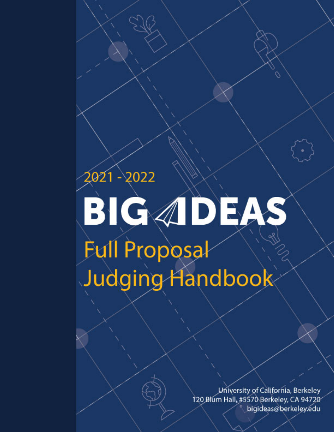# 2021 - 2022 BIGADEAS **Full Proposal** Judging Handbook

University of California, Berkeley 120 Blum Hall, #5570 Berkeley, CA 94720 bigideas@berkeley.edu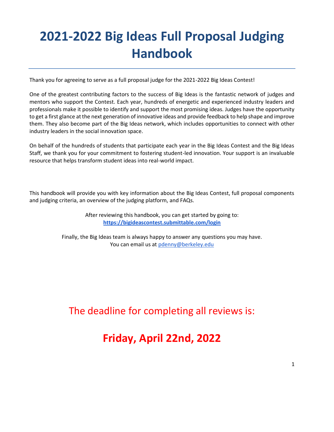# **2021-2022 Big Ideas Full Proposal Judging Handbook**

Thank you for agreeing to serve as a full proposal judge for the 2021-2022 Big Ideas Contest!

One of the greatest contributing factors to the success of Big Ideas is the fantastic network of judges and mentors who support the Contest. Each year, hundreds of energetic and experienced industry leaders and professionals make it possible to identify and support the most promising ideas. Judges have the opportunity to get a first glance at the next generation of innovative ideas and provide feedback to help shape and improve them. They also become part of the Big Ideas network, which includes opportunities to connect with other industry leaders in the social innovation space.

On behalf of the hundreds of students that participate each year in the Big Ideas Contest and the Big Ideas Staff, we thank you for your commitment to fostering student-led innovation. Your support is an invaluable resource that helps transform student ideas into real-world impact.

This handbook will provide you with key information about the Big Ideas Contest, full proposal components and judging criteria, an overview of the judging platform, and FAQs.

> After reviewing this handbook, you can get started by going to: **<https://bigideascontest.submittable.com/login>**

Finally, the Big Ideas team is always happy to answer any questions you may have. You can email us at [pdenny@berkeley.edu](mailto:pdenny@berkeley.edu)

## The deadline for completing all reviews is:

# **Friday, April 22nd, 2022**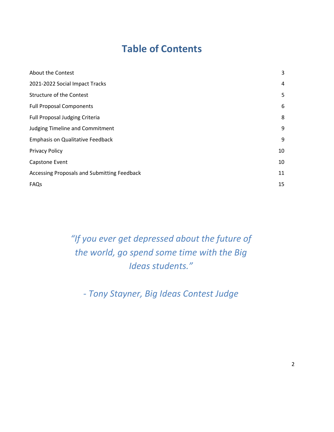# **Table of Contents**

| About the Contest                           | 3              |
|---------------------------------------------|----------------|
| 2021-2022 Social Impact Tracks              | $\overline{4}$ |
| <b>Structure of the Contest</b>             | 5              |
| <b>Full Proposal Components</b>             | 6              |
| Full Proposal Judging Criteria              | 8              |
| <b>Judging Timeline and Commitment</b>      | 9              |
| <b>Emphasis on Qualitative Feedback</b>     | 9              |
| <b>Privacy Policy</b>                       | 10             |
| Capstone Event                              | 10             |
| Accessing Proposals and Submitting Feedback | 11             |
| FAQs                                        | 15             |

*"If you ever get depressed about the future of the world, go spend some time with the Big Ideas students."*

*- Tony Stayner, Big Ideas Contest Judge*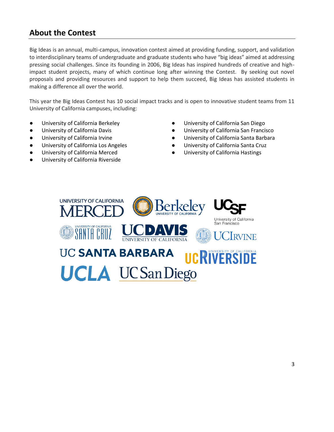## <span id="page-3-0"></span>**About the Contest**

Big Ideas is an annual, multi-campus, innovation contest aimed at providing funding, support, and validation to interdisciplinary teams of undergraduate and graduate students who have "big ideas" aimed at addressing pressing social challenges. Since its founding in 2006, Big Ideas has inspired hundreds of creative and highimpact student projects, many of which continue long after winning the Contest. By seeking out novel proposals and providing resources and support to help them succeed, Big Ideas has assisted students in making a difference all over the world.

This year the Big Ideas Contest has 10 social impact tracks and is open to innovative student teams from 11 University of California campuses, including:

- University of California Berkeley
- University of California Davis
- University of California Irvine
- University of California Los Angeles
- University of California Merced
- <span id="page-3-1"></span>University of California Riverside
- University of California San Diego
- University of California San Francisco
- University of California Santa Barbara
- University of California Santa Cruz
- University of California Hastings

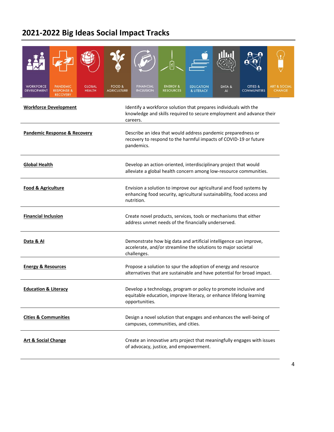# **2021-2022 Big Ideas Social Impact Tracks**

| <b>WORKFORCE</b><br><b>PANDEMIC</b><br><b>GLOBAL</b><br><b>DEVELOPMENT</b><br><b>RESPONSE &amp;</b><br><b>HEALTH</b><br><b>RECOVERY</b> | FOOD &<br><b>FINANCIAL</b><br><b>CITIES &amp;</b><br><b>ENERGY &amp;</b><br><b>ART &amp; SOCIAL</b><br><b>EDUCATION</b><br>DATA &<br><b>INCLUSION</b><br><b>AGRICULTURE</b><br><b>RESOURCES</b><br><b>COMMUNITIES</b><br><b>CHANGE</b><br>& LITERACY<br>AI |  |  |  |  |  |  |  |
|-----------------------------------------------------------------------------------------------------------------------------------------|------------------------------------------------------------------------------------------------------------------------------------------------------------------------------------------------------------------------------------------------------------|--|--|--|--|--|--|--|
| <b>Workforce Development</b>                                                                                                            | Identify a workforce solution that prepares individuals with the<br>knowledge and skills required to secure employment and advance their<br>careers.                                                                                                       |  |  |  |  |  |  |  |
| <b>Pandemic Response &amp; Recovery</b>                                                                                                 | Describe an idea that would address pandemic preparedness or<br>recovery to respond to the harmful impacts of COVID-19 or future<br>pandemics.                                                                                                             |  |  |  |  |  |  |  |
| <b>Global Health</b>                                                                                                                    | Develop an action-oriented, interdisciplinary project that would<br>alleviate a global health concern among low-resource communities.                                                                                                                      |  |  |  |  |  |  |  |
| Food & Agriculture                                                                                                                      | Envision a solution to improve our agricultural and food systems by<br>enhancing food security, agricultural sustainability, food access and<br>nutrition.                                                                                                 |  |  |  |  |  |  |  |
| <b>Financial Inclusion</b>                                                                                                              | Create novel products, services, tools or mechanisms that either<br>address unmet needs of the financially underserved.                                                                                                                                    |  |  |  |  |  |  |  |
| Data & Al                                                                                                                               | Demonstrate how big data and artificial intelligence can improve,<br>accelerate, and/or streamline the solutions to major societal<br>challenges.                                                                                                          |  |  |  |  |  |  |  |
| <b>Energy &amp; Resources</b>                                                                                                           | Propose a solution to spur the adoption of energy and resource<br>alternatives that are sustainable and have potential for broad impact.                                                                                                                   |  |  |  |  |  |  |  |
| <b>Education &amp; Literacy</b>                                                                                                         | Develop a technology, program or policy to promote inclusive and<br>equitable education, improve literacy, or enhance lifelong learning<br>opportunities.                                                                                                  |  |  |  |  |  |  |  |
| <b>Cities &amp; Communities</b>                                                                                                         | Design a novel solution that engages and enhances the well-being of<br>campuses, communities, and cities.                                                                                                                                                  |  |  |  |  |  |  |  |
| <b>Art &amp; Social Change</b>                                                                                                          | Create an innovative arts project that meaningfully engages with issues<br>of advocacy, justice, and empowerment.                                                                                                                                          |  |  |  |  |  |  |  |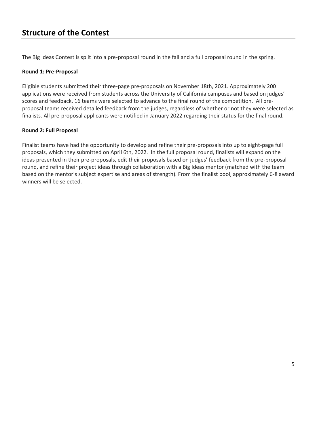## **Structure of the Contest**

The Big Ideas Contest is split into a pre-proposal round in the fall and a full proposal round in the spring.

#### **Round 1: Pre-Proposal**

Eligible students submitted their three-page pre-proposals on November 18th, 2021. Approximately 200 applications were received from students across the University of California campuses and based on judges' scores and feedback, 16 teams were selected to advance to the final round of the competition. All preproposal teams received detailed feedback from the judges, regardless of whether or not they were selected as finalists. All pre-proposal applicants were notified in January 2022 regarding their status for the final round.

#### **Round 2: Full Proposal**

<span id="page-5-0"></span>Finalist teams have had the opportunity to develop and refine their pre-proposals into up to eight-page full proposals, which they submitted on April 6th, 2022. In the full proposal round, finalists will expand on the ideas presented in their pre-proposals, edit their proposals based on judges' feedback from the pre-proposal round, and refine their project ideas through collaboration with a Big Ideas mentor (matched with the team based on the mentor's subject expertise and areas of strength). From the finalist pool, approximately 6-8 award winners will be selected.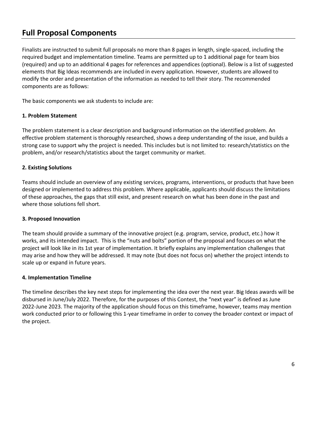## **Full Proposal Components**

Finalists are instructed to submit full proposals no more than 8 pages in length, single-spaced, including the required budget and implementation timeline. Teams are permitted up to 1 additional page for team bios (required) and up to an additional 4 pages for references and appendices (optional). Below is a list of suggested elements that Big Ideas recommends are included in every application. However, students are allowed to modify the order and presentation of the information as needed to tell their story. The recommended components are as follows:

The basic components we ask students to include are:

## **1. Problem Statement**

The problem statement is a clear description and background information on the identified problem. An effective problem statement is thoroughly researched, shows a deep understanding of the issue, and builds a strong case to support why the project is needed. This includes but is not limited to: research/statistics on the problem, and/or research/statistics about the target community or market.

## **2. Existing Solutions**

Teams should include an overview of any existing services, programs, interventions, or products that have been designed or implemented to address this problem. Where applicable, applicants should discuss the limitations of these approaches, the gaps that still exist, and present research on what has been done in the past and where those solutions fell short.

#### **3. Proposed Innovation**

The team should provide a summary of the innovative project (e.g. program, service, product, etc.) how it works, and its intended impact. This is the "nuts and bolts" portion of the proposal and focuses on what the project will look like in its 1st year of implementation. It briefly explains any implementation challenges that may arise and how they will be addressed. It may note (but does not focus on) whether the project intends to scale up or expand in future years.

#### **4. Implementation Timeline**

The timeline describes the key next steps for implementing the idea over the next year. Big Ideas awards will be disbursed in June/July 2022. Therefore, for the purposes of this Contest, the "next year" is defined as June 2022-June 2023. The majority of the application should focus on this timeframe, however, teams may mention work conducted prior to or following this 1-year timeframe in order to convey the broader context or impact of the project.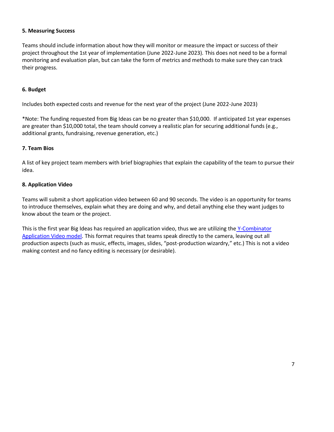#### **5. Measuring Success**

Teams should include information about how they will monitor or measure the impact or success of their project throughout the 1st year of implementation (June 2022-June 2023). This does not need to be a formal monitoring and evaluation plan, but can take the form of metrics and methods to make sure they can track their progress.

#### **6. Budget**

Includes both expected costs and revenue for the next year of the project (June 2022-June 2023)

\*Note: The funding requested from Big Ideas can be no greater than \$10,000. If anticipated 1st year expenses are greater than \$10,000 total, the team should convey a realistic plan for securing additional funds (e.g., additional grants, fundraising, revenue generation, etc.)

#### **7. Team Bios**

A list of key project team members with brief biographies that explain the capability of the team to pursue their idea.

#### **8. Application Video**

Teams will submit a short application video between 60 and 90 seconds. The video is an opportunity for teams to introduce themselves, explain what they are doing and why, and detail anything else they want judges to know about the team or the project.

<span id="page-7-0"></span>This is the first year Big Ideas has required an application video, thus we are utilizing the Y-Combinator [Application Video](https://www.ycombinator.com/video/) model. This format requires that teams speak directly to the camera, leaving out all production aspects (such as music, effects, images, slides, "post-production wizardry," etc.) This is not a video making contest and no fancy editing is necessary (or desirable).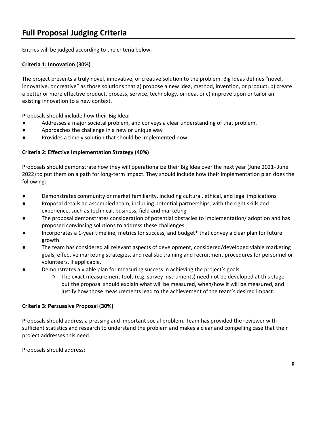## **Full Proposal Judging Criteria**

Entries will be judged according to the criteria below.

## **Criteria 1: Innovation (30%)**

The project presents a truly novel, innovative, or creative solution to the problem. Big Ideas defines "novel, innovative, or creative" as those solutions that a) propose a new idea, method, invention, or product, b) create a better or more effective product, process, service, technology, or idea, or c) improve upon or tailor an existing innovation to a new context.

Proposals should include how their Big Idea:

- Addresses a major societal problem, and conveys a clear understanding of that problem.
- Approaches the challenge in a new or unique way
- Provides a timely solution that should be implemented now

## **Criteria 2: Effective Implementation Strategy (40%)**

Proposals should demonstrate how they will operationalize their Big Idea over the next year (June 2021- June 2022) to put them on a path for long-term impact. They should include how their implementation plan does the following:

- Demonstrates community or market familiarity, including cultural, ethical, and legal implications
- Proposal details an assembled team, including potential partnerships, with the right skills and experience, such as technical, business, field and marketing
- The proposal demonstrates consideration of potential obstacles to implementation/ adoption and has proposed convincing solutions to address these challenges.
- Incorporates a 1-year timeline, metrics for success, and budget\* that convey a clear plan for future growth
- The team has considered all relevant aspects of development, considered/developed viable marketing goals, effective marketing strategies, and realistic training and recruitment procedures for personnel or volunteers, if applicable.
- Demonstrates a viable plan for measuring success in achieving the project's goals.
	- The exact measurement tools (e.g. survey instruments) need not be developed at this stage, but the proposal should explain what will be measured, when/how it will be measured, and justify how those measurements lead to the achievement of the team's desired impact.

#### **Criteria 3: Persuasive Proposal (30%)**

Proposals should address a pressing and important social problem. Team has provided the reviewer with sufficient statistics and research to understand the problem and makes a clear and compelling case that their project addresses this need.

Proposals should address: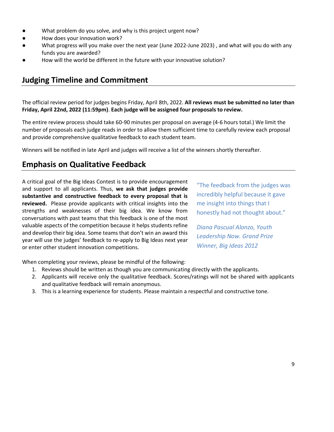- What problem do you solve, and why is this project urgent now?
- How does your innovation work?
- What progress will you make over the next year (June 2022-June 2023) , and what will you do with any funds you are awarded?
- <span id="page-9-0"></span>How will the world be different in the future with your innovative solution?

## **Judging Timeline and Commitment**

The official review period for judges begins Friday, April 8th, 2022. **All reviews must be submitted no later than Friday, April 22nd, 2022 (11:59pm)**. **Each judge will be assigned four proposals to review.** 

The entire review process should take 60-90 minutes per proposal on average (4-6 hours total.) We limit the number of proposals each judge reads in order to allow them sufficient time to carefully review each proposal and provide comprehensive qualitative feedback to each student team.

Winners will be notified in late April and judges will receive a list of the winners shortly thereafter.

## <span id="page-9-1"></span>**Emphasis on Qualitative Feedback**

A critical goal of the Big Ideas Contest is to provide encouragement and support to all applicants. Thus, **we ask that judges provide substantive and constructive feedback to every proposal that is reviewed.** Please provide applicants with critical insights into the strengths and weaknesses of their big idea. We know from conversations with past teams that this feedback is one of the most valuable aspects of the competition because it helps students refine and develop their big idea. Some teams that don't win an award this year will use the judges' feedback to re-apply to Big Ideas next year or enter other student innovation competitions.

"The feedback from the judges was incredibly helpful because it gave me insight into things that I honestly had not thought about."

*Diana Pascual Alonzo, Youth Leadership Now. Grand Prize Winner, Big Ideas 2012*

When completing your reviews, please be mindful of the following:

- 1. Reviews should be written as though you are communicating directly with the applicants.
- 2. Applicants will receive only the qualitative feedback. Scores/ratings will not be shared with applicants and qualitative feedback will remain anonymous.
- <span id="page-9-2"></span>3. This is a learning experience for students. Please maintain a respectful and constructive tone.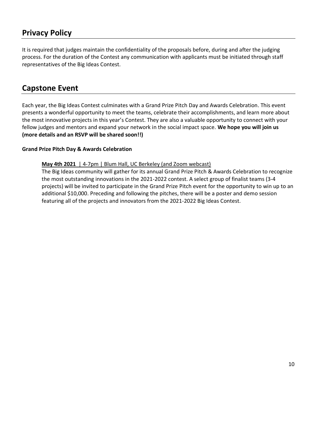## **Privacy Policy**

It is required that judges maintain the confidentiality of the proposals before, during and after the judging process. For the duration of the Contest any communication with applicants must be initiated through staff representatives of the Big Ideas Contest.

## **Capstone Event**

Each year, the Big Ideas Contest culminates with a Grand Prize Pitch Day and Awards Celebration. This event presents a wonderful opportunity to meet the teams, celebrate their accomplishments, and learn more about the most innovative projects in this year's Contest. They are also a valuable opportunity to connect with your fellow judges and mentors and expand your network in the social impact space. **We hope you will join us (more details and an RSVP will be shared soon!!)**

## **Grand Prize Pitch Day & Awards Celebration**

**May 4th 2021** | 4-7pm | Blum Hall, UC Berkeley (and Zoom webcast)

<span id="page-10-0"></span>The Big Ideas community will gather for its annual Grand Prize Pitch & Awards Celebration to recognize the most outstanding innovations in the 2021-2022 contest. A select group of finalist teams (3-4 projects) will be invited to participate in the Grand Prize Pitch event for the opportunity to win up to an additional \$10,000. Preceding and following the pitches, there will be a poster and demo session featuring all of the projects and innovators from the 2021-2022 Big Ideas Contest.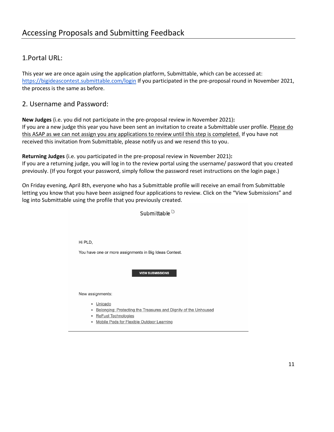## 1.Portal URL:

This year we are once again using the application platform, Submittable, which can be accessed at: <https://bigideascontest.submittable.com/login> If you participated in the pre-proposal round in November 2021, the process is the same as before.

## 2. Username and Password:

**New Judges** (i.e. you did not participate in the pre-proposal review in November 2021)**:** If you are a new judge this year you have been sent an invitation to create a Submittable user profile. Please do this ASAP as we can not assign you any applications to review until this step is completed. If you have not received this invitation from Submittable, please notify us and we resend this to you.

**Returning Judges** (i.e. you participated in the pre-proposal review in November 2021)**:** If you are a returning judge, you will log in to the review portal using the username/ password that you created previously. (If you forgot your password, simply follow the password reset instructions on the login page.)

On Friday evening, April 8th, everyone who has a Submittable profile will receive an email from Submittable letting you know that you have been assigned four applications to review. Click on the "View Submissions" and log into Submittable using the profile that you previously created.

Submittable<sup>[0]</sup>

Hi PLD.

You have one or more assignments in Big Ideas Contest.

**VIEW SUBMISSIONS** 

New assignments:

- · Unicado
- Belonging: Protecting the Treasures and Dignity of the Unhoused
- · ReFuel Technologies
- Mobile Pods for Flexible Outdoor Learning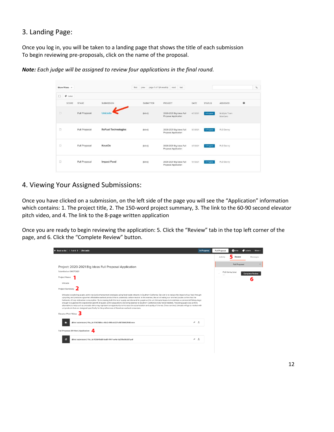## 3. Landing Page:

Once you log in, you will be taken to a landing page that shows the title of each submission To begin reviewing pre-proposals, click on the name of the proposal.

| Show Filters v               |               |                            | first<br>prev    | page 1 of 1 (4 results)<br>next last             |          |               |                          |   | $\alpha$ |
|------------------------------|---------------|----------------------------|------------------|--------------------------------------------------|----------|---------------|--------------------------|---|----------|
| $\Box$<br>$\bullet$<br>Label |               |                            |                  |                                                  |          |               |                          |   |          |
| SCORE                        | <b>STAGE</b>  | SUBMISSION                 | <b>SUBMITTER</b> | PROJECT                                          | DATE     | <b>STATUS</b> | <b>ASSIGNED</b>          | ۰ |          |
| a                            | Full Proposal | Unicado                    | (blind)          | 2020-2021 Big Ideas Full<br>Proposal Application | 4/7/2021 | In-Progress   | Multiple Team<br>Members |   |          |
| O                            | Full Proposal | <b>ReFuel Technologies</b> | (blind)          | 2020-2021 Big Ideas Full<br>Proposal Application | 4/7/2021 | In-Progress   | PLD Denny                |   |          |
| $\Box$                       | Full Proposal | KovaDx                     | (blind)          | 2020-2021 Big Ideas Full<br>Proposal Application | 4/7/2021 | In-Progress   | PLD Denny                |   |          |
| O                            | Full Proposal | <b>Impact Food</b>         | (blind)          | 2020-2021 Big Ideas Full<br>Proposal Application | 4/7/2021 | In Progress   | PLD Denny                |   |          |

*Note: Each judge will be assigned to review four applications in the final round.*

## 4. Viewing Your Assigned Submissions:

Once you have clicked on a submission, on the left side of the page you will see the "Application" information which contains: 1. The project title, 2. The 150-word project summary, 3. The link to the 60-90 second elevator pitch video, and 4. The link to the 8-page written application

Once you are ready to begin reviewing the application: 5. Click the "Review" tab in the top left corner of the page, and 6. Click the "Complete Review" button.

| $\leftarrow$ Back to list $(1 \text{ of } 4)$ Unicado                                                                                                                                                                                                                                                                                                                                                                                                                                                                                                                                                                                                                                                                                                                                                                                                                                                                                                                              | In-Progress                                     | Full Proposal          | A Info | <b>C</b> Labels | More $\sim$ |  |
|------------------------------------------------------------------------------------------------------------------------------------------------------------------------------------------------------------------------------------------------------------------------------------------------------------------------------------------------------------------------------------------------------------------------------------------------------------------------------------------------------------------------------------------------------------------------------------------------------------------------------------------------------------------------------------------------------------------------------------------------------------------------------------------------------------------------------------------------------------------------------------------------------------------------------------------------------------------------------------|-------------------------------------------------|------------------------|--------|-----------------|-------------|--|
|                                                                                                                                                                                                                                                                                                                                                                                                                                                                                                                                                                                                                                                                                                                                                                                                                                                                                                                                                                                    |                                                 | Activity               | Review |                 | Messages    |  |
|                                                                                                                                                                                                                                                                                                                                                                                                                                                                                                                                                                                                                                                                                                                                                                                                                                                                                                                                                                                    | <b>Full Proposal</b><br>$\widehat{\phantom{a}}$ |                        |        |                 |             |  |
| Project: 2020-2021 Big Ideas Full Proposal Application<br>Submitted on 04/07/2021                                                                                                                                                                                                                                                                                                                                                                                                                                                                                                                                                                                                                                                                                                                                                                                                                                                                                                  | PLD Denny (you)                                 | <b>Complete Review</b> |        |                 |             |  |
| Project Name                                                                                                                                                                                                                                                                                                                                                                                                                                                                                                                                                                                                                                                                                                                                                                                                                                                                                                                                                                       |                                                 |                        |        | 6               |             |  |
| Unicado                                                                                                                                                                                                                                                                                                                                                                                                                                                                                                                                                                                                                                                                                                                                                                                                                                                                                                                                                                            |                                                 |                        |        |                 |             |  |
| Project Summary                                                                                                                                                                                                                                                                                                                                                                                                                                                                                                                                                                                                                                                                                                                                                                                                                                                                                                                                                                    |                                                 |                        |        |                 |             |  |
| Unicado is exploring purple urchin roe (uni) enhancement strategies using food waste streams in Southern California. Our aim is to reduce the impact of our feed through<br>upcycling and produce a gourmet affordable seafood product that is potentially carbon neutral. In this manner, the act of eating our ranched purple urchins has the<br>hallmarks of truly restorative consumption. By increasing both the local supply and demand for purple urchin uni, Unicado hopes to incentivize a commercial fishery large<br>enough to suppress the exponential growth of purple urchin populations and bring balance to Southern California's kelp forest habitats. Providing purple sea urchins<br>alternative to kelp such as avocado skins may represent an opportunity to increase the accumulation and quality of the roe. Once ranched, Unicado will go to market with<br>uni products that are designed specifically for the preferences of American seafood consumers. |                                                 |                        |        |                 |             |  |
| Elevator Pitch Video                                                                                                                                                                                                                                                                                                                                                                                                                                                                                                                                                                                                                                                                                                                                                                                                                                                                                                                                                               |                                                 |                        |        |                 |             |  |
| 區<br>÷<br>(Blind submission) File_id #740586cc-40c2-491b-b327-cf8739492540.mov                                                                                                                                                                                                                                                                                                                                                                                                                                                                                                                                                                                                                                                                                                                                                                                                                                                                                                     | 土                                               |                        |        |                 |             |  |
| Full Proposal (Written) Application<br>Д                                                                                                                                                                                                                                                                                                                                                                                                                                                                                                                                                                                                                                                                                                                                                                                                                                                                                                                                           |                                                 |                        |        |                 |             |  |
| ≡<br>÷<br>(Blind submission) File_id #25649c89-ba81-4147-ae4a-1a291bd9c581.pdf                                                                                                                                                                                                                                                                                                                                                                                                                                                                                                                                                                                                                                                                                                                                                                                                                                                                                                     | 土                                               |                        |        |                 |             |  |
|                                                                                                                                                                                                                                                                                                                                                                                                                                                                                                                                                                                                                                                                                                                                                                                                                                                                                                                                                                                    |                                                 |                        |        |                 |             |  |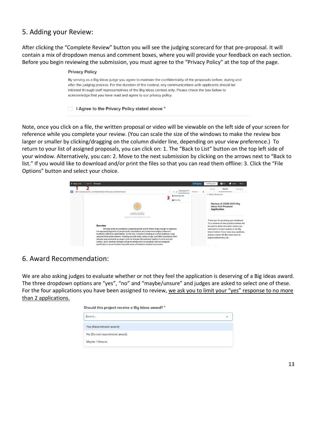## 5. Adding your Review:

After clicking the "Complete Review" button you will see the judging scorecard for that pre-proposal. It will contain a mix of dropdown menus and comment boxes, where you will provide your feedback on each section. Before you begin reviewing the submission, you must agree to the "Privacy Policy" at the top of the page.

| <b>Privacy Policy</b>                                                                                                                                                                                                                                                                                                                                                                                |
|------------------------------------------------------------------------------------------------------------------------------------------------------------------------------------------------------------------------------------------------------------------------------------------------------------------------------------------------------------------------------------------------------|
| By serving as a Big Ideas judge you agree to maintain the confidentiality of the proposals before, during and<br>after the judging process. For the duration of the contest, any communications with applicants should be<br>initiated through staff representatives of the Big Ideas contest only. Please check the box below to<br>acknowledge that you have read and agree to our privacy policy. |
| I Agree to the Privacy Policy stated above *                                                                                                                                                                                                                                                                                                                                                         |

Note, once you click on a file, the written proposal or video will be viewable on the left side of your screen for reference while you complete your review. (You can scale the size of the windows to make the review box larger or smaller by clicking/dragging on the column divider line, depending on your view preference.) To return to your list of assigned proposals, you can click on: 1. The "Back to List" button on the top left side of your window. Alternatively, you can: 2. Move to the next submission by clicking on the arrows next to "Back to list." If you would like to download and/or print the files so that you can read them offline: 3. Click the "File Options" button and select your choice.



## 6. Award Recommendation:

We are also asking judges to evaluate whether or not they feel the application is deserving of a Big Ideas award. The three dropdown options are "yes", "no" and "maybe/unsure" and judges are asked to select one of these. For the four applications you have been assigned to review, we ask you to limit your "yes" response to no more than 2 applications.

| Should this project receive a Big Ideas award? * |          |  |  |  |  |  |
|--------------------------------------------------|----------|--|--|--|--|--|
| Select                                           | $\wedge$ |  |  |  |  |  |
| Yes (Recommend award)                            |          |  |  |  |  |  |
| No (Do not recommend award)                      |          |  |  |  |  |  |
| Maybe / Unsure                                   |          |  |  |  |  |  |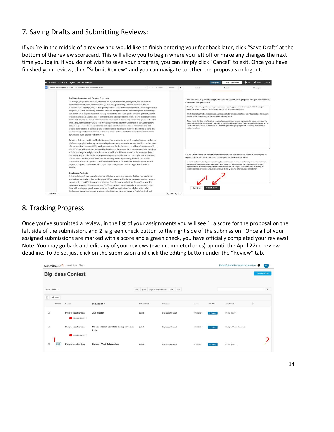## 7. Saving Drafts and Submitting Reviews:

If you're in the middle of a review and would like to finish entering your feedback later, click "Save Draft" at the bottom of the review scorecard. This will allow you to begin where you left off or make any changes the next time you log in. If you do not wish to save your progress, you can simply click "Cancel" to exit. Once you have finished your review, click "Submit Review" and you can navigate to other pre-proposals or logout.



## 8. Tracking Progress

Once you've submitted a review, in the list of your assignments you will see 1. a score for the proposal on the left side of the submission, and 2. a green check button to the right side of the submission. Once all of your assigned submissions are marked with a score and a green check, you have officially completed your reviews! Note: You may go back and edit any of your reviews (even completed ones) up until the April 22nd review deadline. To do so, just click on the submission and click the editing button under the "Review" tab.

|                          | Submittable <sup>D</sup> | Submissions More-                        |                                                  |                  |                                              |            |               | Explore Submittable's plans for organizations | $\bullet$ | PD             |
|--------------------------|--------------------------|------------------------------------------|--------------------------------------------------|------------------|----------------------------------------------|------------|---------------|-----------------------------------------------|-----------|----------------|
| <b>Big Ideas Contest</b> |                          |                                          |                                                  |                  |                                              |            |               |                                               |           | View Your Site |
| Show Filters v           |                          |                                          |                                                  |                  | first prev page 1 of 1 (5 results) next last |            |               |                                               |           | $\varphi$      |
| $\Box$                   | $P$ Label<br>SCORE       | STAGE                                    | SUBMISSION <sup>®</sup>                          | <b>SUBMITTER</b> | PROJECT                                      | DATE       | <b>STATUS</b> | ASSIGNED                                      | ۰         |                |
| $\Box$                   |                          | Pre-proposal review<br>FOLORAL HEALTH    | Jivo Health                                      | (blind)          | <b>Big Ideas Contest</b>                     | 11/20/2020 | in-Progress   | Phillip Denny                                 |           |                |
| $\Box$                   |                          | Pre-proposal review<br>F JIGLOBAL HEALTH | Mental Health Self-Help Groups in Rural<br>India | (blind)          | <b>Big Ideas Contest</b>                     | 11/20/2020 | in-Progress   | Multiple Team Members                         |           |                |
| $\Box$                   | 85.0                     | Pre-proposal review                      | Signum (Test Submission)                         | (blind)          | <b>Big Ideas Contest</b>                     | 9/7/2020   | In-Progress   | Phillip Denny                                 |           | v              |